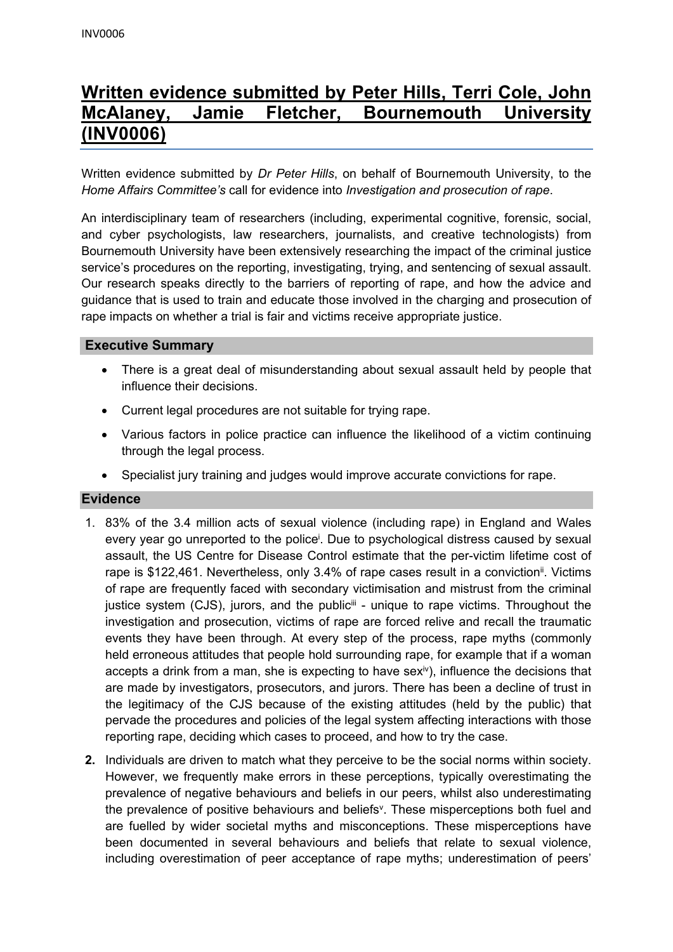# **Written evidence submitted by Peter Hills, Terri Cole, John McAlaney, Jamie Fletcher, Bournemouth University (INV0006)**

Written evidence submitted by *Dr Peter Hills*, on behalf of Bournemouth University, to the *Home Affairs Committee's* call for evidence into *Investigation and prosecution of rape*.

An interdisciplinary team of researchers (including, experimental cognitive, forensic, social, and cyber psychologists, law researchers, journalists, and creative technologists) from Bournemouth University have been extensively researching the impact of the criminal justice service's procedures on the reporting, investigating, trying, and sentencing of sexual assault. Our research speaks directly to the barriers of reporting of rape, and how the advice and guidance that is used to train and educate those involved in the charging and prosecution of rape impacts on whether a trial is fair and victims receive appropriate justice.

## **Executive Summary**

- There is a great deal of misunderstanding about sexual assault held by people that influence their decisions.
- Current legal procedures are not suitable for trying rape.
- Various factors in police practice can influence the likelihood of a victim continuing through the legal process.
- Specialist jury training and judges would improve accurate convictions for rape.

### **Evidence**

- 1. 83% of the 3.4 million acts of sexual violence (including rape) in England and Wales every year go unreported to the police<sup>i</sup>. Due to psychological distress caused by sexual assault, the US Centre for Disease Control estimate that the per-victim lifetime cost of rape is \$122,461. Nevertheless, only 3.4% of rape cases result in a conviction<sup>ii</sup>. Victims of rape are frequently faced with secondary victimisation and mistrust from the criminal justice system (CJS), jurors, and the public<sup>iii</sup> - unique to rape victims. Throughout the investigation and prosecution, victims of rape are forced relive and recall the traumatic events they have been through. At every step of the process, rape myths (commonly held erroneous attitudes that people hold surrounding rape, for example that if a woman accepts a drink from a man, she is expecting to have sex<sup>iv</sup>), influence the decisions that are made by investigators, prosecutors, and jurors. There has been a decline of trust in the legitimacy of the CJS because of the existing attitudes (held by the public) that pervade the procedures and policies of the legal system affecting interactions with those reporting rape, deciding which cases to proceed, and how to try the case.
- **2.** Individuals are driven to match what they perceive to be the social norms within society. However, we frequently make errors in these perceptions, typically overestimating the prevalence of negative behaviours and beliefs in our peers, whilst also underestimating the prevalence of positive behaviours and beliefs<sup>v</sup>. These misperceptions both fuel and are fuelled by wider societal myths and misconceptions. These misperceptions have been documented in several behaviours and beliefs that relate to sexual violence, including overestimation of peer acceptance of rape myths; underestimation of peers'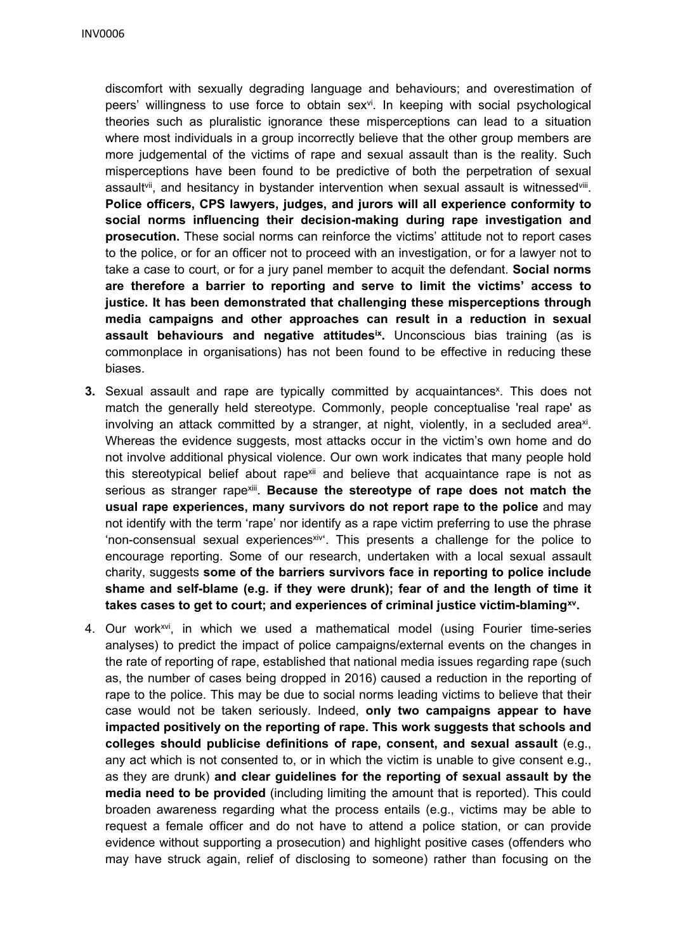discomfort with sexually degrading language and behaviours; and overestimation of peers' willingness to use force to obtain sex<sup>vi</sup>. In keeping with social psychological theories such as pluralistic ignorance these misperceptions can lead to a situation where most individuals in a group incorrectly believe that the other group members are more judgemental of the victims of rape and sexual assault than is the reality. Such misperceptions have been found to be predictive of both the perpetration of sexual assault<sup>vii</sup>, and hesitancy in bystander intervention when sexual assault is witnessed<sup>viii</sup>. **Police officers, CPS lawyers, judges, and jurors will all experience conformity to social norms influencing their decision-making during rape investigation and prosecution.** These social norms can reinforce the victims' attitude not to report cases to the police, or for an officer not to proceed with an investigation, or for a lawyer not to take a case to court, or for a jury panel member to acquit the defendant. **Social norms are therefore a barrier to reporting and serve to limit the victims' access to justice. It has been demonstrated that challenging these misperceptions through media campaigns and other approaches can result in a reduction in sexual assault behaviours and negative attitudesix .** Unconscious bias training (as is commonplace in organisations) has not been found to be effective in reducing these biases.

- **3.** Sexual assault and rape are typically committed by acquaintances<sup>x</sup>. This does not match the generally held stereotype. Commonly, people conceptualise 'real rape' as involving an attack committed by a stranger, at night, violently, in a secluded area<sup>xi</sup>. Whereas the evidence suggests, most attacks occur in the victim's own home and do not involve additional physical violence. Our own work indicates that many people hold this stereotypical belief about rapex<sup>ii</sup> and believe that acquaintance rape is not as serious as stranger rapexiii . **Because the stereotype of rape does not match the usual rape experiences, many survivors do not report rape to the police** and may not identify with the term 'rape' nor identify as a rape victim preferring to use the phrase 'non-consensual sexual experiencesxiv<sup>e</sup>. This presents a challenge for the police to encourage reporting. Some of our research, undertaken with a local sexual assault charity, suggests **some of the barriers survivors face in reporting to police include shame and self-blame (e.g. if they were drunk); fear of and the length of time it takes cases to get to court; and experiences of criminal justice victim-blamingxv .**
- 4. Our work<sup>xvi</sup>, in which we used a mathematical model (using Fourier time-series analyses) to predict the impact of police campaigns/external events on the changes in the rate of reporting of rape, established that national media issues regarding rape (such as, the number of cases being dropped in 2016) caused a reduction in the reporting of rape to the police. This may be due to social norms leading victims to believe that their case would not be taken seriously. Indeed, **only two campaigns appear to have impacted positively on the reporting of rape. This work suggests that schools and colleges should publicise definitions of rape, consent, and sexual assault** (e.g., any act which is not consented to, or in which the victim is unable to give consent e.g., as they are drunk) **and clear guidelines for the reporting of sexual assault by the media need to be provided** (including limiting the amount that is reported). This could broaden awareness regarding what the process entails (e.g., victims may be able to request a female officer and do not have to attend a police station, or can provide evidence without supporting a prosecution) and highlight positive cases (offenders who may have struck again, relief of disclosing to someone) rather than focusing on the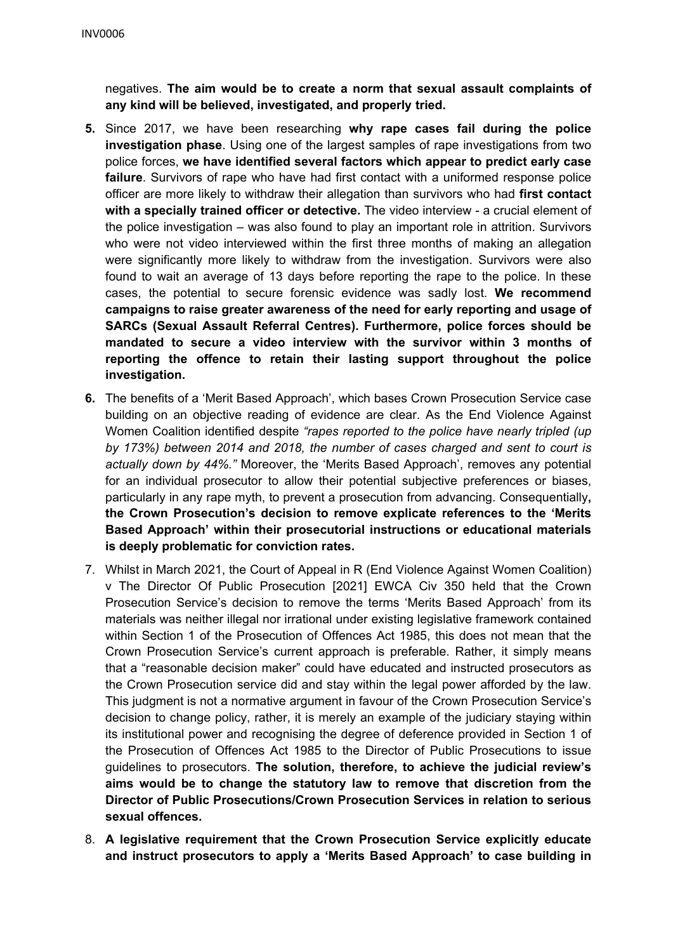negatives. **The aim would be to create a norm that sexual assault complaints of any kind will be believed, investigated, and properly tried.**

- **5.** Since 2017, we have been researching **why rape cases fail during the police investigation phase**. Using one of the largest samples of rape investigations from two police forces, **we have identified several factors which appear to predict early case failure**. Survivors of rape who have had first contact with a uniformed response police officer are more likely to withdraw their allegation than survivors who had **first contact with a specially trained officer or detective.** The video interview - a crucial element of the police investigation – was also found to play an important role in attrition. Survivors who were not video interviewed within the first three months of making an allegation were significantly more likely to withdraw from the investigation. Survivors were also found to wait an average of 13 days before reporting the rape to the police. In these cases, the potential to secure forensic evidence was sadly lost. **We recommend campaigns to raise greater awareness of the need for early reporting and usage of SARCs (Sexual Assault Referral Centres). Furthermore, police forces should be mandated to secure a video interview with the survivor within 3 months of reporting the offence to retain their lasting support throughout the police investigation.**
- **6.** The benefits of a 'Merit Based Approach', which bases Crown Prosecution Service case building on an objective reading of evidence are clear. As the End Violence Against Women Coalition identified despite *"rapes reported to the police have nearly tripled (up by 173%) between 2014 and 2018, the number of cases charged and sent to court is actually down by 44%."* Moreover, the 'Merits Based Approach', removes any potential for an individual prosecutor to allow their potential subjective preferences or biases, particularly in any rape myth, to prevent a prosecution from advancing. Consequentially**, the Crown Prosecution's decision to remove explicate references to the 'Merits Based Approach' within their prosecutorial instructions or educational materials is deeply problematic for conviction rates.**
- 7. Whilst in March 2021, the Court of Appeal in R (End Violence Against Women Coalition) v The Director Of Public Prosecution [2021] EWCA Civ 350 held that the Crown Prosecution Service's decision to remove the terms 'Merits Based Approach' from its materials was neither illegal nor irrational under existing legislative framework contained within Section 1 of the Prosecution of Offences Act 1985, this does not mean that the Crown Prosecution Service's current approach is preferable. Rather, it simply means that a "reasonable decision maker" could have educated and instructed prosecutors as the Crown Prosecution service did and stay within the legal power afforded by the law. This judgment is not a normative argument in favour of the Crown Prosecution Service's decision to change policy, rather, it is merely an example of the judiciary staying within its institutional power and recognising the degree of deference provided in Section 1 of the Prosecution of Offences Act 1985 to the Director of Public Prosecutions to issue guidelines to prosecutors. **The solution, therefore, to achieve the judicial review's aims would be to change the statutory law to remove that discretion from the Director of Public Prosecutions/Crown Prosecution Services in relation to serious sexual offences.**
- 8. **A legislative requirement that the Crown Prosecution Service explicitly educate and instruct prosecutors to apply a 'Merits Based Approach' to case building in**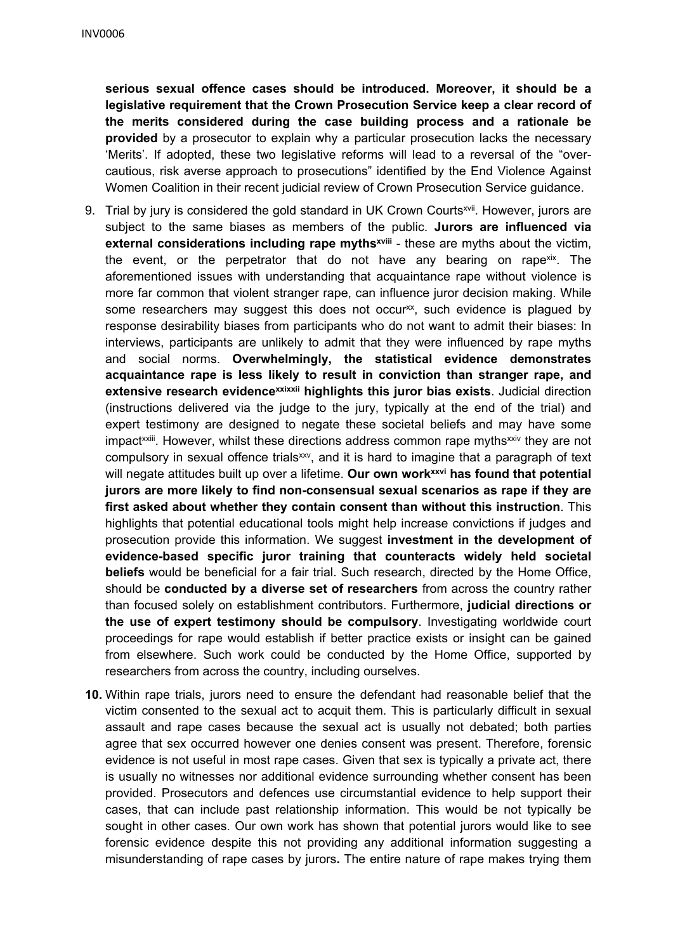**serious sexual offence cases should be introduced. Moreover, it should be a legislative requirement that the Crown Prosecution Service keep a clear record of the merits considered during the case building process and a rationale be provided** by a prosecutor to explain why a particular prosecution lacks the necessary 'Merits'. If adopted, these two legislative reforms will lead to a reversal of the "overcautious, risk averse approach to prosecutions" identified by the End Violence Against Women Coalition in their recent judicial review of Crown Prosecution Service guidance.

- 9. Trial by jury is considered the gold standard in UK Crown Courts<sup>xvii</sup>. However, jurors are subject to the same biases as members of the public. **Jurors are influenced via external considerations including rape mythsxviii** - these are myths about the victim, the event, or the perpetrator that do not have any bearing on rape<sup>xix</sup>. The aforementioned issues with understanding that acquaintance rape without violence is more far common that violent stranger rape, can influence juror decision making. While some researchers may suggest this does not occur<sup>xx</sup>, such evidence is plagued by response desirability biases from participants who do not want to admit their biases: In interviews, participants are unlikely to admit that they were influenced by rape myths and social norms. **Overwhelmingly, the statistical evidence demonstrates acquaintance rape is less likely to result in conviction than stranger rape, and extensive research evidencexxixxii highlights this juror bias exists**. Judicial direction (instructions delivered via the judge to the jury, typically at the end of the trial) and expert testimony are designed to negate these societal beliefs and may have some impact<sup>xxiii</sup>. However, whilst these directions address common rape myths<sup>xxiv</sup> they are not compulsory in sexual offence trials<sup>xxv</sup>, and it is hard to imagine that a paragraph of text will negate attitudes built up over a lifetime. **Our own workxxvi has found that potential jurors are more likely to find non-consensual sexual scenarios as rape if they are first asked about whether they contain consent than without this instruction**. This highlights that potential educational tools might help increase convictions if judges and prosecution provide this information. We suggest **investment in the development of evidence-based specific juror training that counteracts widely held societal beliefs** would be beneficial for a fair trial. Such research, directed by the Home Office, should be **conducted by a diverse set of researchers** from across the country rather than focused solely on establishment contributors. Furthermore, **judicial directions or the use of expert testimony should be compulsory**. Investigating worldwide court proceedings for rape would establish if better practice exists or insight can be gained from elsewhere. Such work could be conducted by the Home Office, supported by researchers from across the country, including ourselves.
- **10.** Within rape trials, jurors need to ensure the defendant had reasonable belief that the victim consented to the sexual act to acquit them. This is particularly difficult in sexual assault and rape cases because the sexual act is usually not debated; both parties agree that sex occurred however one denies consent was present. Therefore, forensic evidence is not useful in most rape cases. Given that sex is typically a private act, there is usually no witnesses nor additional evidence surrounding whether consent has been provided. Prosecutors and defences use circumstantial evidence to help support their cases, that can include past relationship information. This would be not typically be sought in other cases. Our own work has shown that potential jurors would like to see forensic evidence despite this not providing any additional information suggesting a misunderstanding of rape cases by jurors**.** The entire nature of rape makes trying them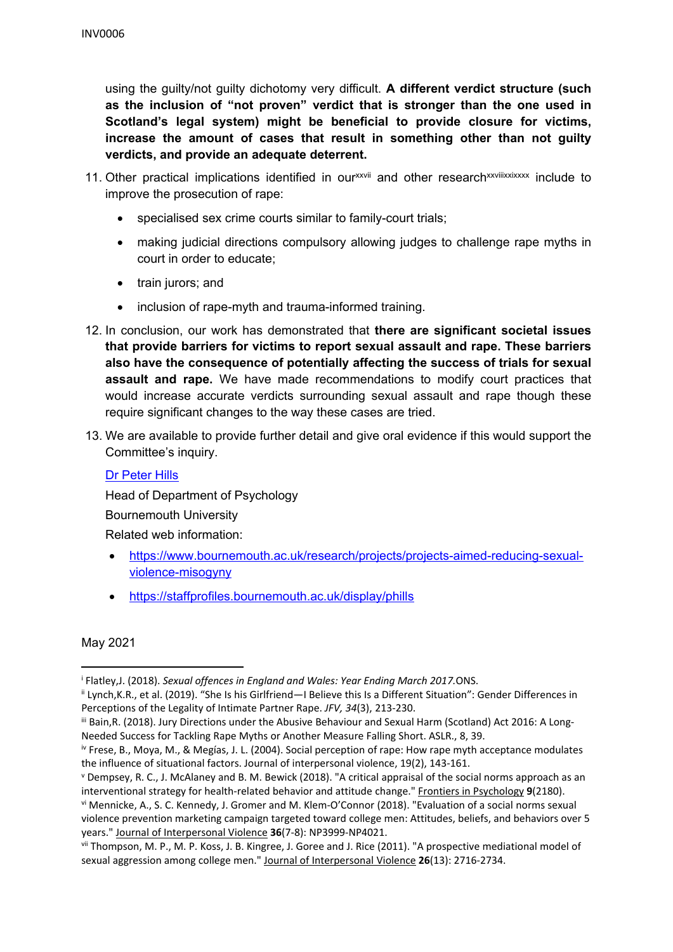using the guilty/not guilty dichotomy very difficult. **A different verdict structure (such as the inclusion of "not proven" verdict that is stronger than the one used in Scotland's legal system) might be beneficial to provide closure for victims, increase the amount of cases that result in something other than not guilty verdicts, and provide an adequate deterrent.**

- 11. Other practical implications identified in ourxxvii and other researchxxvilixxixxxx include to improve the prosecution of rape:
	- specialised sex crime courts similar to family-court trials;
	- making judicial directions compulsory allowing judges to challenge rape myths in court in order to educate;
	- train jurors; and
	- inclusion of rape-myth and trauma-informed training.
- 12. In conclusion, our work has demonstrated that **there are significant societal issues that provide barriers for victims to report sexual assault and rape. These barriers also have the consequence of potentially affecting the success of trials for sexual assault and rape.** We have made recommendations to modify court practices that would increase accurate verdicts surrounding sexual assault and rape though these require significant changes to the way these cases are tried.
- 13. We are available to provide further detail and give oral evidence if this would support the Committee's inquiry.

#### [Dr](https://staffprofiles.bournemouth.ac.uk/display/phills) [Peter](https://staffprofiles.bournemouth.ac.uk/display/phills) [Hills](https://staffprofiles.bournemouth.ac.uk/display/phills)

Head of Department of Psychology

Bournemouth University

Related web information:

- [https://www.bournemouth.ac.uk/research/projects/projects-aimed-reducing-sexual](https://www.bournemouth.ac.uk/research/projects/projects-aimed-reducing-sexual-violence-misogyny)[violence-misogyny](https://www.bournemouth.ac.uk/research/projects/projects-aimed-reducing-sexual-violence-misogyny)
- <https://staffprofiles.bournemouth.ac.uk/display/phills>

### May 2021

<sup>i</sup> Flatley,J. (2018). *Sexual offences in England and Wales: Year Ending March 2017.*ONS.

ii Lynch,K.R., et al. (2019). "She Is his Girlfriend—I Believe this Is a Different Situation": Gender Differences in Perceptions of the Legality of Intimate Partner Rape. *JFV, 34*(3), 213-230.

iii Bain, R. (2018). Jury Directions under the Abusive Behaviour and Sexual Harm (Scotland) Act 2016: A Long-Needed Success for Tackling Rape Myths or Another Measure Falling Short. ASLR., 8, 39.

iv Frese, B., Moya, M., & Megías, J. L. (2004). Social perception of rape: How rape myth acceptance modulates the influence of situational factors. Journal of interpersonal violence, 19(2), 143-161.

<sup>v</sup> Dempsey, R. C., J. McAlaney and B. M. Bewick (2018). "A critical appraisal of the social norms approach as an interventional strategy for health-related behavior and attitude change." Frontiers in Psychology **9**(2180). vi Mennicke, A., S. C. Kennedy, J. Gromer and M. Klem-O'Connor (2018). "Evaluation of a social norms sexual violence prevention marketing campaign targeted toward college men: Attitudes, beliefs, and behaviors over 5 years." Journal of Interpersonal Violence **36**(7-8): NP3999-NP4021.

vii Thompson, M. P., M. P. Koss, J. B. Kingree, J. Goree and J. Rice (2011). "A prospective mediational model of sexual aggression among college men." Journal of Interpersonal Violence **26**(13): 2716-2734.